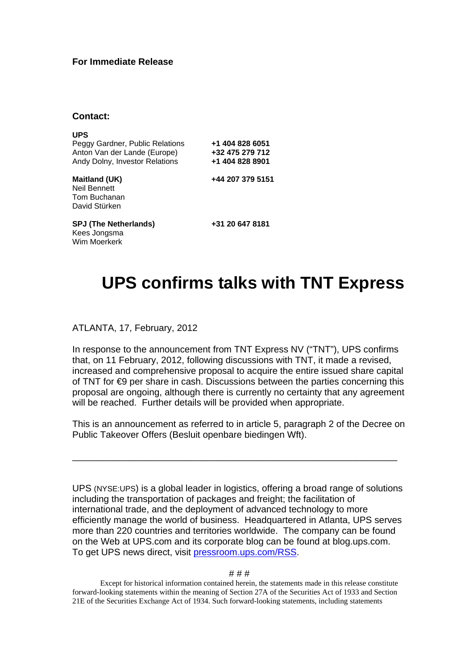## **For Immediate Release**

## **Contact:**

| <b>UPS</b><br>Peggy Gardner, Public Relations<br>Anton Van der Lande (Europe)<br>Andy Dolny, Investor Relations | +1 404 828 6051<br>+32 475 279 712<br>+1 404 828 8901 |
|-----------------------------------------------------------------------------------------------------------------|-------------------------------------------------------|
| <b>Maitland (UK)</b><br>Neil Bennett<br>Tom Buchanan<br>David Stürken                                           | +44 207 379 5151                                      |
| <b>SPJ (The Netherlands)</b><br>Kees Jongsma<br>Wim Moerkerk                                                    | +31 20 647 8181                                       |

## **UPS confirms talks with TNT Express**

ATLANTA, 17, February, 2012

In response to the announcement from TNT Express NV ("TNT"), UPS confirms that, on 11 February, 2012, following discussions with TNT, it made a revised, increased and comprehensive proposal to acquire the entire issued share capital of TNT for €9 per share in cash. Discussions between the parties concerning this proposal are ongoing, although there is currently no certainty that any agreement will be reached. Further details will be provided when appropriate.

This is an announcement as referred to in article 5, paragraph 2 of the Decree on Public Takeover Offers (Besluit openbare biedingen Wft).

\_\_\_\_\_\_\_\_\_\_\_\_\_\_\_\_\_\_\_\_\_\_\_\_\_\_\_\_\_\_\_\_\_\_\_\_\_\_\_\_\_\_\_\_\_\_\_\_\_\_\_\_\_\_\_\_\_\_\_\_\_\_\_

UPS (NYSE:UPS) is a global leader in logistics, offering a broad range of solutions including the transportation of packages and freight; the facilitation of international trade, and the deployment of advanced technology to more efficiently manage the world of business. Headquartered in Atlanta, UPS serves more than 220 countries and territories worldwide. The company can be found on the Web at UPS.com and its corporate blog can be found at blog.ups.com. To get UPS news direct, visit pressroom.ups.com/RSS.

## # # #

Except for historical information contained herein, the statements made in this release constitute forward-looking statements within the meaning of Section 27A of the Securities Act of 1933 and Section 21E of the Securities Exchange Act of 1934. Such forward-looking statements, including statements